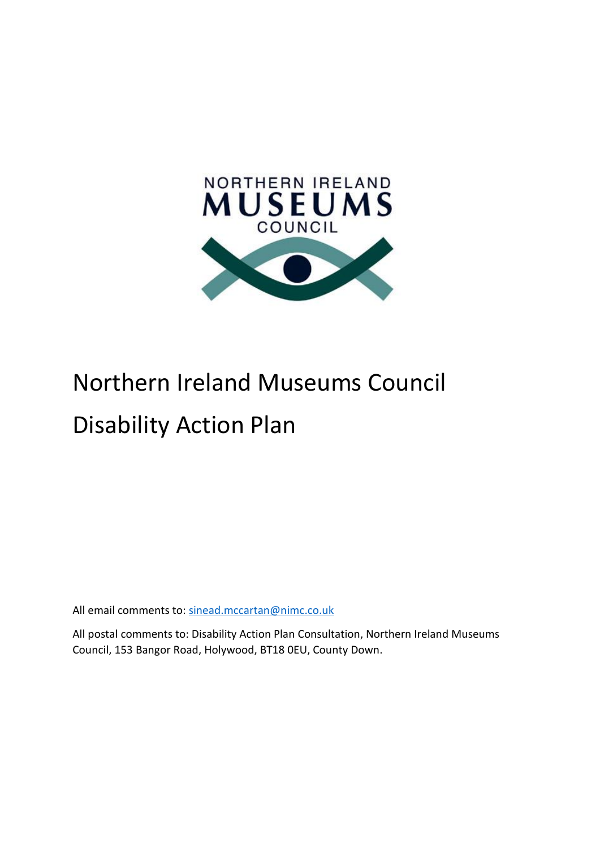

# Northern Ireland Museums Council Disability Action Plan

All email comments to: [sinead.mccartan@nimc.co.uk](mailto:sinead.mccartan@nimc.co.uk)

All postal comments to: Disability Action Plan Consultation, Northern Ireland Museums Council, 153 Bangor Road, Holywood, BT18 0EU, County Down.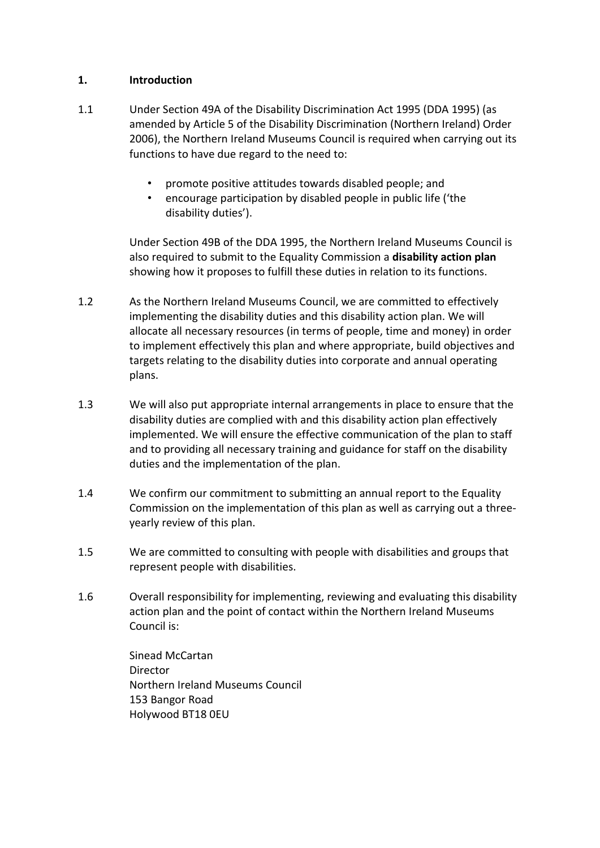#### **1. Introduction**

- 1.1 Under Section 49A of the Disability Discrimination Act 1995 (DDA 1995) (as amended by Article 5 of the Disability Discrimination (Northern Ireland) Order 2006), the Northern Ireland Museums Council is required when carrying out its functions to have due regard to the need to:
	- promote positive attitudes towards disabled people; and
	- encourage participation by disabled people in public life ('the disability duties').

Under Section 49B of the DDA 1995, the Northern Ireland Museums Council is also required to submit to the Equality Commission a **disability action plan**  showing how it proposes to fulfill these duties in relation to its functions.

- 1.2 As the Northern Ireland Museums Council, we are committed to effectively implementing the disability duties and this disability action plan. We will allocate all necessary resources (in terms of people, time and money) in order to implement effectively this plan and where appropriate, build objectives and targets relating to the disability duties into corporate and annual operating plans.
- 1.3 We will also put appropriate internal arrangements in place to ensure that the disability duties are complied with and this disability action plan effectively implemented. We will ensure the effective communication of the plan to staff and to providing all necessary training and guidance for staff on the disability duties and the implementation of the plan.
- 1.4 We confirm our commitment to submitting an annual report to the Equality Commission on the implementation of this plan as well as carrying out a threeyearly review of this plan.
- 1.5 We are committed to consulting with people with disabilities and groups that represent people with disabilities.
- 1.6 Overall responsibility for implementing, reviewing and evaluating this disability action plan and the point of contact within the Northern Ireland Museums Council is:

Sinead McCartan **Director** Northern Ireland Museums Council 153 Bangor Road Holywood BT18 0EU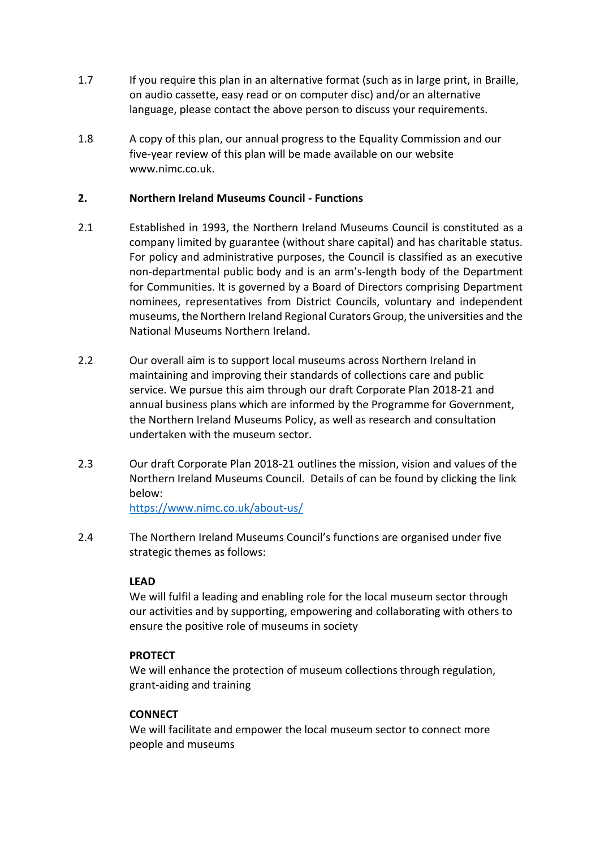- 1.7 If you require this plan in an alternative format (such as in large print, in Braille, on audio cassette, easy read or on computer disc) and/or an alternative language, please contact the above person to discuss your requirements.
- 1.8 A copy of this plan, our annual progress to the Equality Commission and our five-year review of this plan will be made available on our website www.nimc.co.uk.

#### **2. Northern Ireland Museums Council - Functions**

- 2.1 Established in 1993, the Northern Ireland Museums Council is constituted as a company limited by guarantee (without share capital) and has charitable status. For policy and administrative purposes, the Council is classified as an executive non-departmental public body and is an arm's-length body of the Department for Communities. It is governed by a Board of Directors comprising Department nominees, representatives from District Councils, voluntary and independent museums, the Northern Ireland Regional Curators Group, the universities and the National Museums Northern Ireland.
- 2.2 Our overall aim is to support local museums across Northern Ireland in maintaining and improving their standards of collections care and public service. We pursue this aim through our draft Corporate Plan 2018-21 and annual business plans which are informed by the Programme for Government, the Northern Ireland Museums Policy, as well as research and consultation undertaken with the museum sector.
- 2.3 Our draft Corporate Plan 2018-21 outlines the mission, vision and values of the Northern Ireland Museums Council. Details of can be found by clicking the link below: <https://www.nimc.co.uk/about-us/>
- 2.4 The Northern Ireland Museums Council's functions are organised under five strategic themes as follows:

#### **LEAD**

We will fulfil a leading and enabling role for the local museum sector through our activities and by supporting, empowering and collaborating with others to ensure the positive role of museums in society

#### **PROTECT**

We will enhance the protection of museum collections through regulation, grant-aiding and training

#### **CONNECT**

We will facilitate and empower the local museum sector to connect more people and museums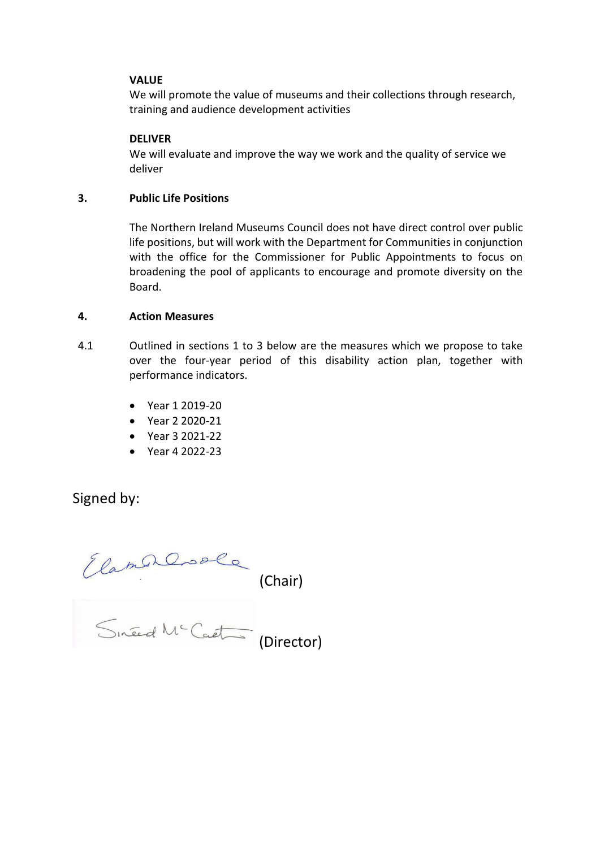#### **VALUE**

We will promote the value of museums and their collections through research, training and audience development activities

#### **DELIVER**

We will evaluate and improve the way we work and the quality of service we deliver

#### **3. Public Life Positions**

The Northern Ireland Museums Council does not have direct control over public life positions, but will work with the Department for Communities in conjunction with the office for the Commissioner for Public Appointments to focus on broadening the pool of applicants to encourage and promote diversity on the Board.

#### **4. Action Measures**

- 4.1 Outlined in sections 1 to 3 below are the measures which we propose to take over the four-year period of this disability action plan, together with performance indicators.
	- Year 1 2019-20
	- Year 2 2020-21
	- Year 3 2021-22
	- Year 4 2022-23

Signed by:

(Chair) (Director)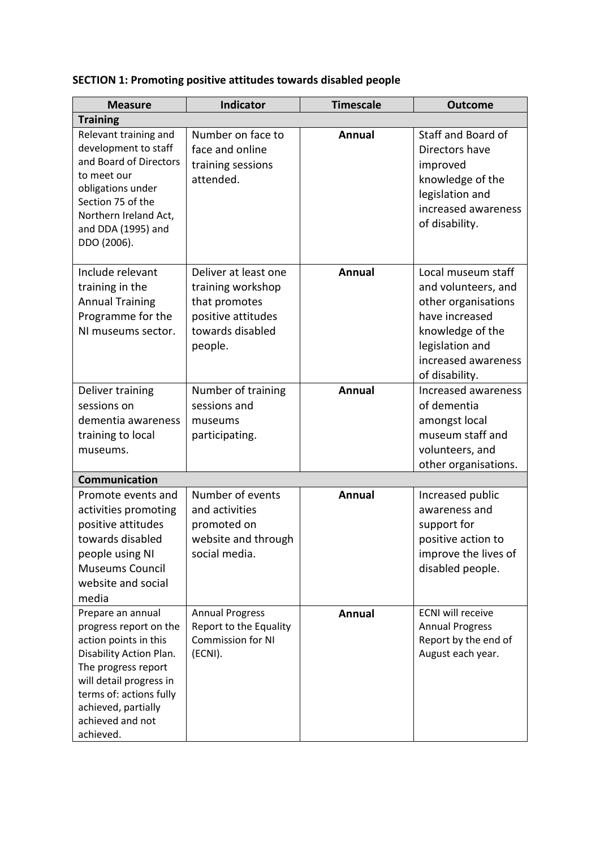## **SECTION 1: Promoting positive attitudes towards disabled people**

| <b>Measure</b>                                                                                                                                                                                                                       | <b>Indicator</b>                                                                                                | <b>Timescale</b> | <b>Outcome</b>                                                                                                                                                     |
|--------------------------------------------------------------------------------------------------------------------------------------------------------------------------------------------------------------------------------------|-----------------------------------------------------------------------------------------------------------------|------------------|--------------------------------------------------------------------------------------------------------------------------------------------------------------------|
| <b>Training</b>                                                                                                                                                                                                                      |                                                                                                                 |                  |                                                                                                                                                                    |
| Relevant training and<br>development to staff<br>and Board of Directors<br>to meet our<br>obligations under<br>Section 75 of the<br>Northern Ireland Act,<br>and DDA (1995) and<br>DDO (2006).                                       | Number on face to<br>face and online<br>training sessions<br>attended.                                          | <b>Annual</b>    | Staff and Board of<br>Directors have<br>improved<br>knowledge of the<br>legislation and<br>increased awareness<br>of disability.                                   |
| Include relevant<br>training in the<br><b>Annual Training</b><br>Programme for the<br>NI museums sector.                                                                                                                             | Deliver at least one<br>training workshop<br>that promotes<br>positive attitudes<br>towards disabled<br>people. | <b>Annual</b>    | Local museum staff<br>and volunteers, and<br>other organisations<br>have increased<br>knowledge of the<br>legislation and<br>increased awareness<br>of disability. |
| Deliver training<br>sessions on<br>dementia awareness<br>training to local<br>museums.                                                                                                                                               | Number of training<br>sessions and<br>museums<br>participating.                                                 | <b>Annual</b>    | Increased awareness<br>of dementia<br>amongst local<br>museum staff and<br>volunteers, and<br>other organisations.                                                 |
| <b>Communication</b>                                                                                                                                                                                                                 |                                                                                                                 |                  |                                                                                                                                                                    |
| Promote events and<br>activities promoting<br>positive attitudes<br>towards disabled<br>people using NI<br>Museums Council<br>website and social<br>media                                                                            | Number of events<br>and activities<br>promoted on<br>website and through<br>social media.                       | <b>Annual</b>    | Increased public<br>awareness and<br>support for<br>positive action to<br>improve the lives of<br>disabled people.                                                 |
| Prepare an annual<br>progress report on the<br>action points in this<br>Disability Action Plan.<br>The progress report<br>will detail progress in<br>terms of: actions fully<br>achieved, partially<br>achieved and not<br>achieved. | <b>Annual Progress</b><br>Report to the Equality<br><b>Commission for NI</b><br>(ECNI).                         | Annual           | <b>ECNI</b> will receive<br><b>Annual Progress</b><br>Report by the end of<br>August each year.                                                                    |